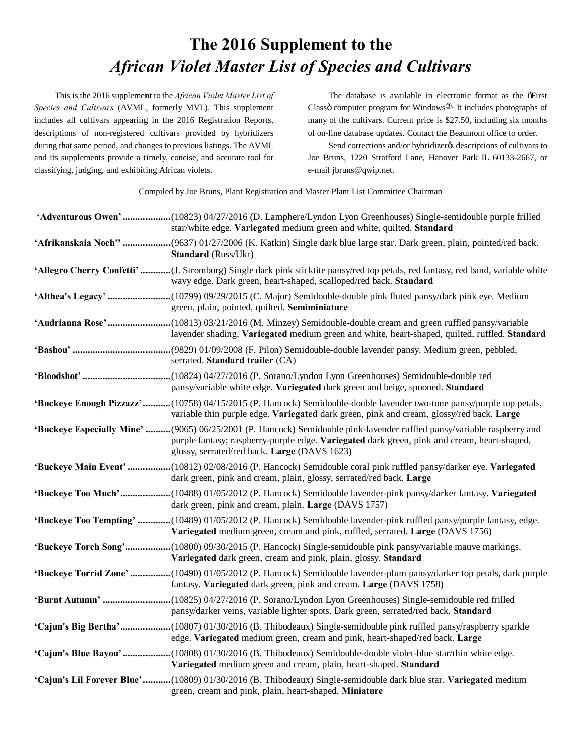## **The 2016 Supplement to the** *African Violet Master List of Species and Cultivars*

This is the 2016 supplement to the *African Violet Master List of Species and Cultivars* (AVML, formerly MVL). This supplement includes all cultivars appearing in the 2016 Registration Reports, descriptions of non-registered cultivars provided by hybridizers during that same period, and changes to previous listings. The AVML and its supplements provide a timely, concise, and accurate tool for classifying, judging, and exhibiting African violets.

The database is available in electronic format as the  $\tilde{\sigma}$ First Classö computer program for Windows $\mathbb{D}$ . It includes photographs of many of the cultivars. Current price is \$27.50, including six months of on-line database updates. Contact the Beaumont office to order.

Send corrections and/or hybridizergs descriptions of cultivars to Joe Bruns, 1220 Stratford Lane, Hanover Park IL 60133-2667, or e-mail jbruns@qwip.net.

Compiled by Joe Bruns, Plant Registration and Master Plant List Committee Chairman

| 'Adventurous Owen'(10823) 04/27/2016 (D. Lamphere/Lyndon Lyon Greenhouses) Single-semidouble purple frilled<br>star/white edge. Variegated medium green and white, quilted. Standard                                                                                  |
|-----------------------------------------------------------------------------------------------------------------------------------------------------------------------------------------------------------------------------------------------------------------------|
| 'Afrikanskaia Noch'' (9637) 01/27/2006 (K. Katkin) Single dark blue large star. Dark green, plain, pointed/red back.<br><b>Standard</b> (Russ/Ukr)                                                                                                                    |
| 'Allegro Cherry Confetti' (J. Stromborg) Single dark pink sticktite pansy/red top petals, red fantasy, red band, variable white<br>wavy edge. Dark green, heart-shaped, scalloped/red back. Standard                                                                  |
| 'Althea's Legacy' (10799) 09/29/2015 (C. Major) Semidouble-double pink fluted pansy/dark pink eye. Medium<br>green, plain, pointed, quilted. Semiminiature                                                                                                            |
| 'Audrianna Rose' (10813) 03/21/2016 (M. Minzey) Semidouble-double cream and green ruffled pansy/variable<br>lavender shading. Variegated medium green and white, heart-shaped, quilted, ruffled. Standard                                                             |
| serrated. Standard trailer (CA)                                                                                                                                                                                                                                       |
| pansy/variable white edge. Variegated dark green and beige, spooned. Standard                                                                                                                                                                                         |
| 'Buckeye Enough Pizzazz'(10758) 04/15/2015 (P. Hancock) Semidouble-double lavender two-tone pansy/purple top petals,<br>variable thin purple edge. Variegated dark green, pink and cream, glossy/red back. Large                                                      |
| 'Buckeye Especially Mine' (9065) 06/25/2001 (P. Hancock) Semidouble pink-lavender ruffled pansy/variable raspberry and<br>purple fantasy; raspberry-purple edge. Variegated dark green, pink and cream, heart-shaped,<br>glossy, serrated/red back. Large (DAVS 1623) |
| 'Buckeye Main Event' (10812) 02/08/2016 (P. Hancock) Semidouble coral pink ruffled pansy/darker eye. Variegated<br>dark green, pink and cream, plain, glossy, serrated/red back. Large                                                                                |
| 'Buckeye Too Much'(10488) 01/05/2012 (P. Hancock) Semidouble lavender-pink pansy/darker fantasy. Variegated<br>dark green, pink and cream, plain. Large (DAVS 1757)                                                                                                   |
| 'Buckeye Too Tempting' (10489) 01/05/2012 (P. Hancock) Semidouble lavender-pink ruffled pansy/purple fantasy, edge.<br>Variegated medium green, cream and pink, ruffled, serrated. Large (DAVS 1756)                                                                  |
| 'Buckeye Torch Song'(10800) 09/30/2015 (P. Hancock) Single-semidouble pink pansy/variable mauve markings.<br>Variegated dark green, cream and pink, plain, glossy. Standard                                                                                           |
| 'Buckeye Torrid Zone' (10490) 01/05/2012 (P. Hancock) Semidouble lavender-plum pansy/darker top petals, dark purple<br>fantasy. Variegated dark green, pink and cream. Large (DAVS 1758)                                                                              |
| pansy/darker veins, variable lighter spots. Dark green, serrated/red back. Standard                                                                                                                                                                                   |
| 'Cajun's Big Bertha'(10807) 01/30/2016 (B. Thibodeaux) Single-semidouble pink ruffled pansy/raspberry sparkle<br>edge. Variegated medium green, cream and pink, heart-shaped/red back. Large                                                                          |
| 'Cajun's Blue Bayou' (10808) 01/30/2016 (B. Thibodeaux) Semidouble-double violet-blue star/thin white edge.<br>Variegated medium green and cream, plain, heart-shaped. Standard                                                                                       |
| 'Cajun's Lil Forever Blue'(10809) 01/30/2016 (B. Thibodeaux) Single-semidouble dark blue star. Variegated medium<br>green, cream and pink, plain, heart-shaped. Miniature                                                                                             |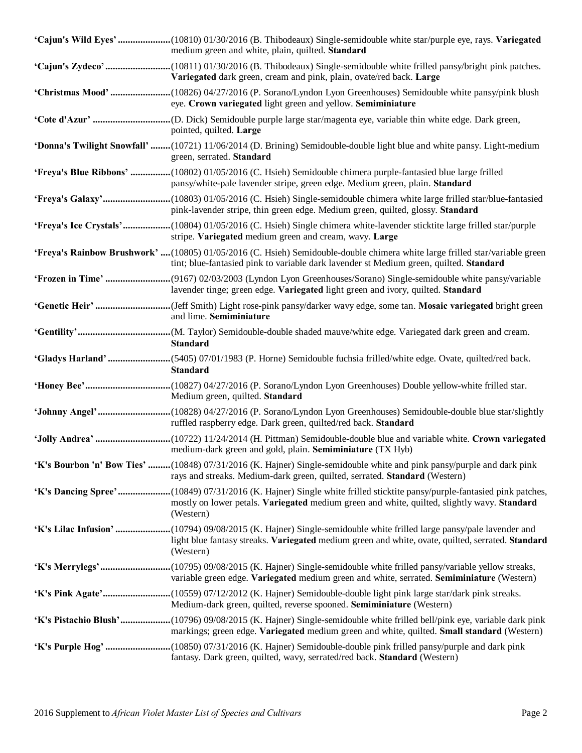| 'Cajun's Wild Eyes' (10810) 01/30/2016 (B. Thibodeaux) Single-semidouble white star/purple eye, rays. Variegated<br>medium green and white, plain, quilted. Standard                                                                |
|-------------------------------------------------------------------------------------------------------------------------------------------------------------------------------------------------------------------------------------|
| Variegated dark green, cream and pink, plain, ovate/red back. Large                                                                                                                                                                 |
| 'Christmas Mood'(10826) 04/27/2016 (P. Sorano/Lyndon Lyon Greenhouses) Semidouble white pansy/pink blush<br>eye. Crown variegated light green and yellow. Semiminiature                                                             |
| pointed, quilted. Large                                                                                                                                                                                                             |
| 'Donna's Twilight Snowfall' (10721) 11/06/2014 (D. Brining) Semidouble-double light blue and white pansy. Light-medium<br>green, serrated. Standard                                                                                 |
| 'Freya's Blue Ribbons' (10802) 01/05/2016 (C. Hsieh) Semidouble chimera purple-fantasied blue large frilled<br>pansy/white-pale lavender stripe, green edge. Medium green, plain. Standard                                          |
| pink-lavender stripe, thin green edge. Medium green, quilted, glossy. Standard                                                                                                                                                      |
| 'Freya's Ice Crystals'(10804) 01/05/2016 (C. Hsieh) Single chimera white-lavender sticktite large frilled star/purple<br>stripe. Variegated medium green and cream, wavy. Large                                                     |
| 'Freya's Rainbow Brushwork' (10805) 01/05/2016 (C. Hsieh) Semidouble-double chimera white large frilled star/variable green<br>tint; blue-fantasied pink to variable dark lavender st Medium green, quilted. Standard               |
| lavender tinge; green edge. Variegated light green and ivory, quilted. Standard                                                                                                                                                     |
| and lime. Semiminiature                                                                                                                                                                                                             |
| <b>Standard</b>                                                                                                                                                                                                                     |
|                                                                                                                                                                                                                                     |
| 'Gladys Harland' (5405) 07/01/1983 (P. Horne) Semidouble fuchsia frilled/white edge. Ovate, quilted/red back.<br><b>Standard</b>                                                                                                    |
| Medium green, quilted. Standard                                                                                                                                                                                                     |
| ruffled raspberry edge. Dark green, quilted/red back. Standard                                                                                                                                                                      |
| medium-dark green and gold, plain. Semiminiature (TX Hyb)                                                                                                                                                                           |
| 'K's Bourbon 'n' Bow Ties' (10848) 07/31/2016 (K. Hajner) Single-semidouble white and pink pansy/purple and dark pink<br>rays and streaks. Medium-dark green, quilted, serrated. Standard (Western)                                 |
| mostly on lower petals. Variegated medium green and white, quilted, slightly wavy. Standard<br>(Western)                                                                                                                            |
| 'K's Lilac Infusion' (10794) 09/08/2015 (K. Hajner) Single-semidouble white frilled large pansy/pale lavender and<br>light blue fantasy streaks. Variegated medium green and white, ovate, quilted, serrated. Standard<br>(Western) |
| variable green edge. Variegated medium green and white, serrated. Semiminiature (Western)                                                                                                                                           |
| 'K's Pink Agate'(10559) 07/12/2012 (K. Hajner) Semidouble-double light pink large star/dark pink streaks.<br>Medium-dark green, quilted, reverse spooned. Semiminiature (Western)                                                   |
| 'K's Pistachio Blush'(10796) 09/08/2015 (K. Hajner) Single-semidouble white frilled bell/pink eye, variable dark pink<br>markings; green edge. Variegated medium green and white, quilted. Small standard (Western)                 |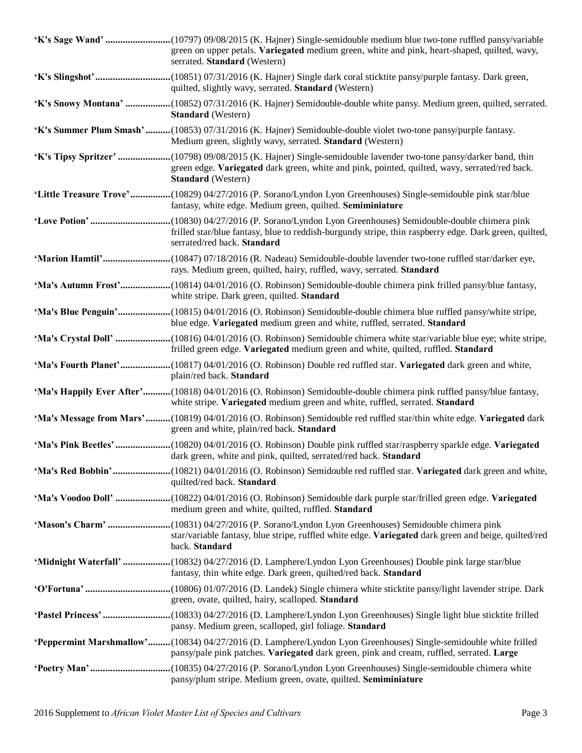| green on upper petals. Variegated medium green, white and pink, heart-shaped, quilted, wavy,<br>serrated. Standard (Western)                                                                                                                  |
|-----------------------------------------------------------------------------------------------------------------------------------------------------------------------------------------------------------------------------------------------|
| quilted, slightly wavy, serrated. Standard (Western)                                                                                                                                                                                          |
| 'K's Snowy Montana' (10852) 07/31/2016 (K. Hajner) Semidouble-double white pansy. Medium green, quilted, serrated.<br><b>Standard</b> (Western)                                                                                               |
| 'K's Summer Plum Smash'(10853) 07/31/2016 (K. Hajner) Semidouble-double violet two-tone pansy/purple fantasy.<br>Medium green, slightly wavy, serrated. Standard (Western)                                                                    |
| 'K's Tipsy Spritzer' (10798) 09/08/2015 (K. Hajner) Single-semidouble lavender two-tone pansy/darker band, thin<br>green edge. Variegated dark green, white and pink, pointed, quilted, wavy, serrated/red back.<br><b>Standard</b> (Western) |
| 'Little Treasure Trove'(10829) 04/27/2016 (P. Sorano/Lyndon Lyon Greenhouses) Single-semidouble pink star/blue<br>fantasy, white edge. Medium green, quilted. Semiminiature                                                                   |
| frilled star/blue fantasy, blue to reddish-burgundy stripe, thin raspberry edge. Dark green, quilted,<br>serrated/red back. Standard                                                                                                          |
| 'Marion Hamtil'(10847) 07/18/2016 (R. Nadeau) Semidouble-double lavender two-tone ruffled star/darker eye,<br>rays. Medium green, quilted, hairy, ruffled, wavy, serrated. Standard                                                           |
| white stripe. Dark green, quilted. Standard                                                                                                                                                                                                   |
| 'Ma's Blue Penguin'(10815) 04/01/2016 (O. Robinson) Semidouble-double chimera blue ruffled pansy/white stripe,<br>blue edge. Variegated medium green and white, ruffled, serrated. Standard                                                   |
| 'Ma's Crystal Doll' (10816) 04/01/2016 (O. Robinson) Semidouble chimera white star/variable blue eye; white stripe,<br>frilled green edge. Variegated medium green and white, quilted, ruffled. Standard                                      |
| 'Ma's Fourth Planet'(10817) 04/01/2016 (O. Robinson) Double red ruffled star. Variegated dark green and white,<br>plain/red back. Standard                                                                                                    |
| 'Ma's Happily Ever After'(10818) 04/01/2016 (O. Robinson) Semidouble-double chimera pink ruffled pansy/blue fantasy,<br>white stripe. Variegated medium green and white, ruffled, serrated. Standard                                          |
| 'Ma's Message from Mars'(10819) 04/01/2016 (O. Robinson) Semidouble red ruffled star/thin white edge. Variegated dark<br>green and white, plain/red back. Standard                                                                            |
| 'Ma's Pink Beetles' (10820) 04/01/2016 (O. Robinson) Double pink ruffled star/raspberry sparkle edge. Variegated<br>dark green, white and pink, quilted, serrated/red back. Standard                                                          |
| quilted/red back. Standard                                                                                                                                                                                                                    |
| medium green and white, quilted, ruffled. Standard                                                                                                                                                                                            |
| star/variable fantasy, blue stripe, ruffled white edge. Variegated dark green and beige, quilted/red<br>back. Standard                                                                                                                        |
| 'Midnight Waterfall' (10832) 04/27/2016 (D. Lamphere/Lyndon Lyon Greenhouses) Double pink large star/blue<br>fantasy, thin white edge. Dark green, quilted/red back. Standard                                                                 |
| green, ovate, quilted, hairy, scalloped. Standard                                                                                                                                                                                             |
| 'Pastel Princess' (10833) 04/27/2016 (D. Lamphere/Lyndon Lyon Greenhouses) Single light blue sticktite frilled<br>pansy. Medium green, scalloped, girl foliage. Standard                                                                      |
| 'Peppermint Marshmallow'(10834) 04/27/2016 (D. Lamphere/Lyndon Lyon Greenhouses) Single-semidouble white frilled<br>pansy/pale pink patches. Variegated dark green, pink and cream, ruffled, serrated. Large                                  |
| pansy/plum stripe. Medium green, ovate, quilted. Semiminiature                                                                                                                                                                                |